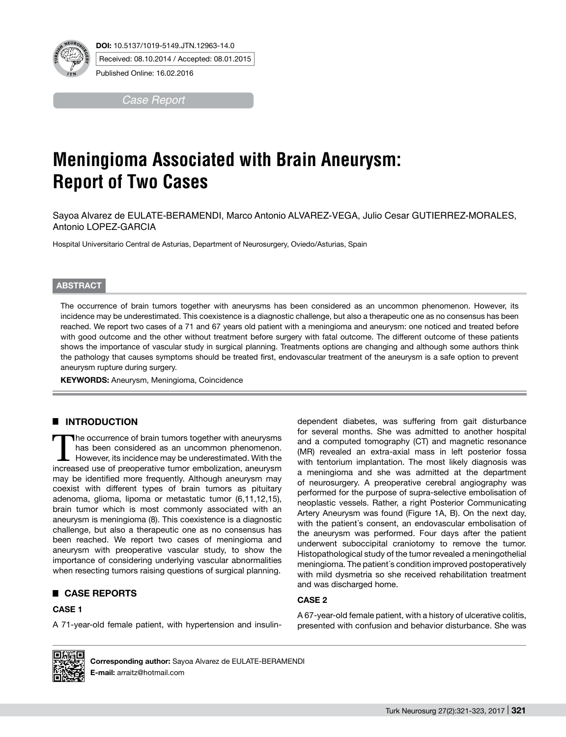

Received: 08.10.2014 / Accepted: 08.01.2015

Published Online: 16.02.2016

*Case Report*

# **Meningioma Associated with Brain Aneurysm: Report of Two Cases**

Sayoa Alvarez de EULATE-BERAMENDI, Marco Antonio ALVAREZ-VEGA, Julio Cesar GUTIERREZ-MORALES, Antonio LOPEZ-GARCIA

Hospital Universitario Central de Asturias, Department of Neurosurgery, Oviedo/Asturias, Spain

### **ABSTRACT**

The occurrence of brain tumors together with aneurysms has been considered as an uncommon phenomenon. However, its incidence may be underestimated. This coexistence is a diagnostic challenge, but also a therapeutic one as no consensus has been reached. We report two cases of a 71 and 67 years old patient with a meningioma and aneurysm: one noticed and treated before with good outcome and the other without treatment before surgery with fatal outcome. The different outcome of these patients shows the importance of vascular study in surgical planning. Treatments options are changing and although some authors think the pathology that causes symptoms should be treated first, endovascular treatment of the aneurysm is a safe option to prevent aneurysm rupture during surgery.

**KEYWORDS: Aneurysm, Meningioma, Coincidence** 

## █ **INTRODUCTION**

The occurrence of brain tumors together with aneurysms has been considered as an uncommon phenomenon. However, its incidence may be underestimated. With the increased use of preoperative tumor embolization, aneurysm may be identified more frequently. Although aneurysm may coexist with different types of brain tumors as pituitary adenoma, glioma, lipoma or metastatic tumor (6,11,12,15), brain tumor which is most commonly associated with an aneurysm is meningioma (8). This coexistence is a diagnostic challenge, but also a therapeutic one as no consensus has been reached. We report two cases of meningioma and aneurysm with preoperative vascular study, to show the importance of considering underlying vascular abnormalities when resecting tumors raising questions of surgical planning.

## █ **CASE REPORTS**

#### **CASE 1**

A 71-year-old female patient, with hypertension and insulin-

dependent diabetes, was suffering from gait disturbance for several months. She was admitted to another hospital and a computed tomography (CT) and magnetic resonance (MR) revealed an extra-axial mass in left posterior fossa with tentorium implantation. The most likely diagnosis was a meningioma and she was admitted at the department of neurosurgery. A preoperative cerebral angiography was performed for the purpose of supra-selective embolisation of neoplastic vessels. Rather, a right Posterior Communicating Artery Aneurysm was found (Figure 1A, B). On the next day, with the patient´s consent, an endovascular embolisation of the aneurysm was performed. Four days after the patient underwent suboccipital craniotomy to remove the tumor. Histopathological study of the tumor revealed a meningothelial meningioma. The patient´s condition improved postoperatively with mild dysmetria so she received rehabilitation treatment and was discharged home.

## **CASE 2**

A 67-year-old female patient, with a history of ulcerative colitis, presented with confusion and behavior disturbance. She was



**Corresponding author:** Sayoa Alvarez de EULATE-BERAMENDI **E-mail:** arraitz@hotmail.com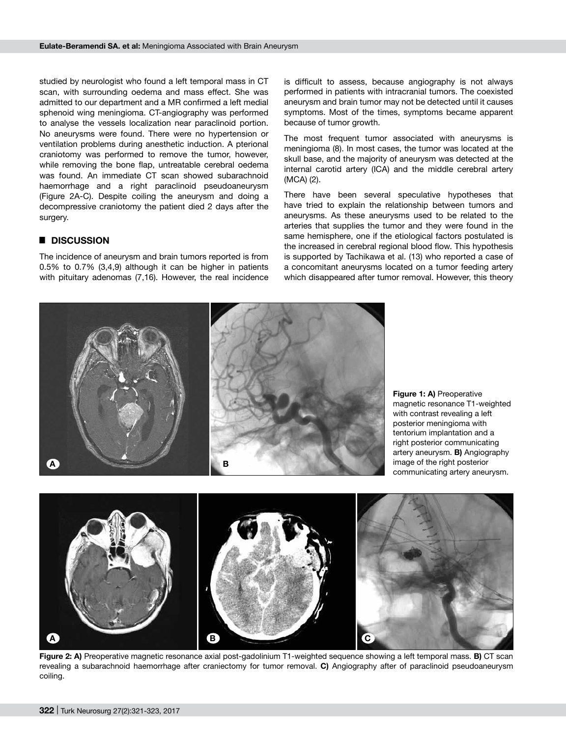studied by neurologist who found a left temporal mass in CT scan, with surrounding oedema and mass effect. She was admitted to our department and a MR confirmed a left medial sphenoid wing meningioma. CT-angiography was performed to analyse the vessels localization near paraclinoid portion. No aneurysms were found. There were no hypertension or ventilation problems during anesthetic induction. A pterional craniotomy was performed to remove the tumor, however, while removing the bone flap, untreatable cerebral oedema was found. An immediate CT scan showed subarachnoid haemorrhage and a right paraclinoid pseudoaneurysm (Figure 2A-C). Despite coiling the aneurysm and doing a decompressive craniotomy the patient died 2 days after the surgery.

## █ **DISCUSSION**

The incidence of aneurysm and brain tumors reported is from 0.5% to 0.7% (3,4,9) although it can be higher in patients with pituitary adenomas (7,16). However, the real incidence is difficult to assess, because angiography is not always performed in patients with intracranial tumors. The coexisted aneurysm and brain tumor may not be detected until it causes symptoms. Most of the times, symptoms became apparent because of tumor growth.

The most frequent tumor associated with aneurysms is meningioma (8). In most cases, the tumor was located at the skull base, and the majority of aneurysm was detected at the internal carotid artery (ICA) and the middle cerebral artery (MCA) (2).

There have been several speculative hypotheses that have tried to explain the relationship between tumors and aneurysms. As these aneurysms used to be related to the arteries that supplies the tumor and they were found in the same hemisphere, one if the etiological factors postulated is the increased in cerebral regional blood flow. This hypothesis is supported by Tachikawa et al. (13) who reported a case of a concomitant aneurysms located on a tumor feeding artery which disappeared after tumor removal. However, this theory



**Figure 2: A)** Preoperative magnetic resonance axial post-gadolinium T1-weighted sequence showing a left temporal mass. **B)** CT scan revealing a subarachnoid haemorrhage after craniectomy for tumor removal. **C)** Angiography after of paraclinoid pseudoaneurysm coiling.